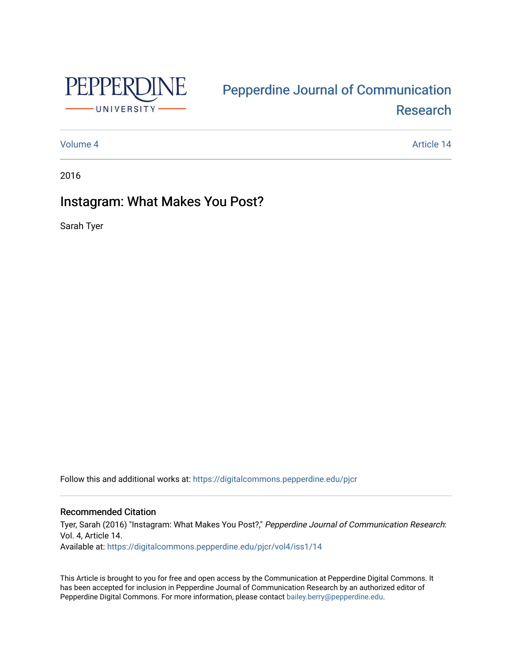

# [Pepperdine Journal of Communication](https://digitalcommons.pepperdine.edu/pjcr)  [Research](https://digitalcommons.pepperdine.edu/pjcr)

[Volume 4](https://digitalcommons.pepperdine.edu/pjcr/vol4) Article 14

2016

## Instagram: What Makes You Post?

Sarah Tyer

Follow this and additional works at: [https://digitalcommons.pepperdine.edu/pjcr](https://digitalcommons.pepperdine.edu/pjcr?utm_source=digitalcommons.pepperdine.edu%2Fpjcr%2Fvol4%2Fiss1%2F14&utm_medium=PDF&utm_campaign=PDFCoverPages)

## Recommended Citation

Tyer, Sarah (2016) "Instagram: What Makes You Post?," Pepperdine Journal of Communication Research: Vol. 4, Article 14. Available at: [https://digitalcommons.pepperdine.edu/pjcr/vol4/iss1/14](https://digitalcommons.pepperdine.edu/pjcr/vol4/iss1/14?utm_source=digitalcommons.pepperdine.edu%2Fpjcr%2Fvol4%2Fiss1%2F14&utm_medium=PDF&utm_campaign=PDFCoverPages)

This Article is brought to you for free and open access by the Communication at Pepperdine Digital Commons. It has been accepted for inclusion in Pepperdine Journal of Communication Research by an authorized editor of Pepperdine Digital Commons. For more information, please contact [bailey.berry@pepperdine.edu](mailto:bailey.berry@pepperdine.edu).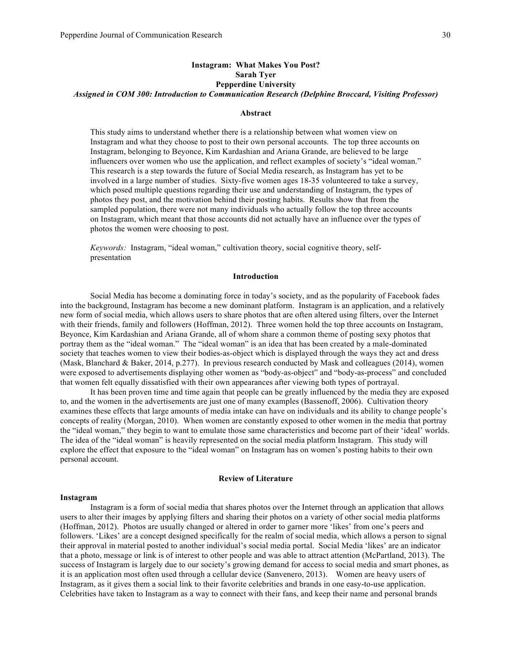## **Instagram: What Makes You Post? Sarah Tyer Pepperdine University** *Assigned in COM 300: Introduction to Communication Research (Delphine Broccard, Visiting Professor)*

#### **Abstract**

This study aims to understand whether there is a relationship between what women view on Instagram and what they choose to post to their own personal accounts. The top three accounts on Instagram, belonging to Beyonce, Kim Kardashian and Ariana Grande, are believed to be large influencers over women who use the application, and reflect examples of society's "ideal woman." This research is a step towards the future of Social Media research, as Instagram has yet to be involved in a large number of studies. Sixty-five women ages 18-35 volunteered to take a survey, which posed multiple questions regarding their use and understanding of Instagram, the types of photos they post, and the motivation behind their posting habits. Results show that from the sampled population, there were not many individuals who actually follow the top three accounts on Instagram, which meant that those accounts did not actually have an influence over the types of photos the women were choosing to post.

*Keywords:* Instagram, "ideal woman," cultivation theory, social cognitive theory, selfpresentation

## **Introduction**

Social Media has become a dominating force in today's society, and as the popularity of Facebook fades into the background, Instagram has become a new dominant platform. Instagram is an application, and a relatively new form of social media, which allows users to share photos that are often altered using filters, over the Internet with their friends, family and followers (Hoffman, 2012). Three women hold the top three accounts on Instagram, Beyonce, Kim Kardashian and Ariana Grande, all of whom share a common theme of posting sexy photos that portray them as the "ideal woman." The "ideal woman" is an idea that has been created by a male-dominated society that teaches women to view their bodies-as-object which is displayed through the ways they act and dress (Mask, Blanchard & Baker, 2014, p.277). In previous research conducted by Mask and colleagues (2014), women were exposed to advertisements displaying other women as "body-as-object" and "body-as-process" and concluded that women felt equally dissatisfied with their own appearances after viewing both types of portrayal.

It has been proven time and time again that people can be greatly influenced by the media they are exposed to, and the women in the advertisements are just one of many examples (Bassenoff, 2006). Cultivation theory examines these effects that large amounts of media intake can have on individuals and its ability to change people's concepts of reality (Morgan, 2010). When women are constantly exposed to other women in the media that portray the "ideal woman," they begin to want to emulate those same characteristics and become part of their 'ideal' worlds. The idea of the "ideal woman" is heavily represented on the social media platform Instagram. This study will explore the effect that exposure to the "ideal woman" on Instagram has on women's posting habits to their own personal account.

## **Review of Literature**

#### **Instagram**

Instagram is a form of social media that shares photos over the Internet through an application that allows users to alter their images by applying filters and sharing their photos on a variety of other social media platforms (Hoffman, 2012). Photos are usually changed or altered in order to garner more 'likes' from one's peers and followers. 'Likes' are a concept designed specifically for the realm of social media, which allows a person to signal their approval in material posted to another individual's social media portal. Social Media 'likes' are an indicator that a photo, message or link is of interest to other people and was able to attract attention (McPartland, 2013). The success of Instagram is largely due to our society's growing demand for access to social media and smart phones, as it is an application most often used through a cellular device (Sanvenero, 2013). Women are heavy users of Instagram, as it gives them a social link to their favorite celebrities and brands in one easy-to-use application. Celebrities have taken to Instagram as a way to connect with their fans, and keep their name and personal brands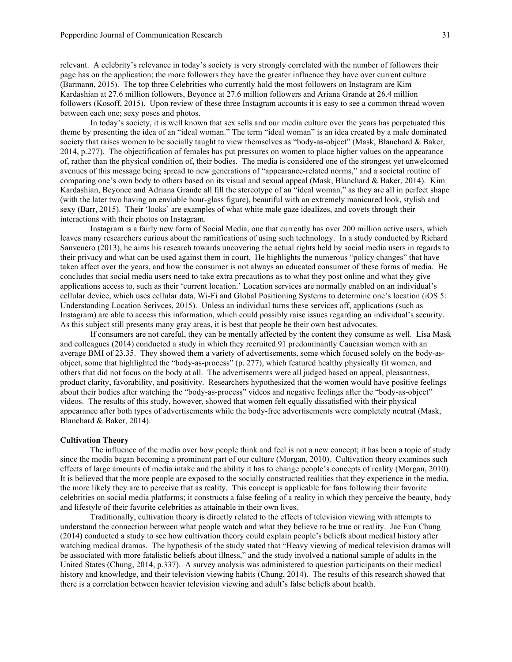relevant. A celebrity's relevance in today's society is very strongly correlated with the number of followers their page has on the application; the more followers they have the greater influence they have over current culture (Barmann, 2015). The top three Celebrities who currently hold the most followers on Instagram are Kim Kardashian at 27.6 million followers, Beyonce at 27.6 million followers and Ariana Grande at 26.4 million followers (Kosoff, 2015). Upon review of these three Instagram accounts it is easy to see a common thread woven between each one; sexy poses and photos.

In today's society, it is well known that sex sells and our media culture over the years has perpetuated this theme by presenting the idea of an "ideal woman." The term "ideal woman" is an idea created by a male dominated society that raises women to be socially taught to view themselves as "body-as-object" (Mask, Blanchard & Baker, 2014, p.277). The objectification of females has put pressures on women to place higher values on the appearance of, rather than the physical condition of, their bodies. The media is considered one of the strongest yet unwelcomed avenues of this message being spread to new generations of "appearance-related norms," and a societal routine of comparing one's own body to others based on its visual and sexual appeal (Mask, Blanchard & Baker, 2014). Kim Kardashian, Beyonce and Adriana Grande all fill the stereotype of an "ideal woman," as they are all in perfect shape (with the later two having an enviable hour-glass figure), beautiful with an extremely manicured look, stylish and sexy (Barr, 2015). Their 'looks' are examples of what white male gaze idealizes, and covets through their interactions with their photos on Instagram.

Instagram is a fairly new form of Social Media, one that currently has over 200 million active users, which leaves many researchers curious about the ramifications of using such technology. In a study conducted by Richard Sanvenero (2013), he aims his research towards uncovering the actual rights held by social media users in regards to their privacy and what can be used against them in court. He highlights the numerous "policy changes" that have taken affect over the years, and how the consumer is not always an educated consumer of these forms of media. He concludes that social media users need to take extra precautions as to what they post online and what they give applications access to, such as their 'current location.' Location services are normally enabled on an individual's cellular device, which uses cellular data, Wi-Fi and Global Positioning Systems to determine one's location (iOS 5: Understanding Location Serivces, 2015). Unless an individual turns these services off, applications (such as Instagram) are able to access this information, which could possibly raise issues regarding an individual's security. As this subject still presents many gray areas, it is best that people be their own best advocates.

If consumers are not careful, they can be mentally affected by the content they consume as well. Lisa Mask and colleagues (2014) conducted a study in which they recruited 91 predominantly Caucasian women with an average BMI of 23.35. They showed them a variety of advertisements, some which focused solely on the body-asobject, some that highlighted the "body-as-process" (p. 277), which featured healthy physically fit women, and others that did not focus on the body at all. The advertisements were all judged based on appeal, pleasantness, product clarity, favorability, and positivity. Researchers hypothesized that the women would have positive feelings about their bodies after watching the "body-as-process" videos and negative feelings after the "body-as-object" videos. The results of this study, however, showed that women felt equally dissatisfied with their physical appearance after both types of advertisements while the body-free advertisements were completely neutral (Mask, Blanchard & Baker, 2014).

#### **Cultivation Theory**

The influence of the media over how people think and feel is not a new concept; it has been a topic of study since the media began becoming a prominent part of our culture (Morgan, 2010). Cultivation theory examines such effects of large amounts of media intake and the ability it has to change people's concepts of reality (Morgan, 2010). It is believed that the more people are exposed to the socially constructed realities that they experience in the media, the more likely they are to perceive that as reality. This concept is applicable for fans following their favorite celebrities on social media platforms; it constructs a false feeling of a reality in which they perceive the beauty, body and lifestyle of their favorite celebrities as attainable in their own lives.

Traditionally, cultivation theory is directly related to the effects of television viewing with attempts to understand the connection between what people watch and what they believe to be true or reality. Jae Eun Chung (2014) conducted a study to see how cultivation theory could explain people's beliefs about medical history after watching medical dramas. The hypothesis of the study stated that "Heavy viewing of medical television dramas will be associated with more fatalistic beliefs about illness," and the study involved a national sample of adults in the United States (Chung, 2014, p.337). A survey analysis was administered to question participants on their medical history and knowledge, and their television viewing habits (Chung, 2014). The results of this research showed that there is a correlation between heavier television viewing and adult's false beliefs about health.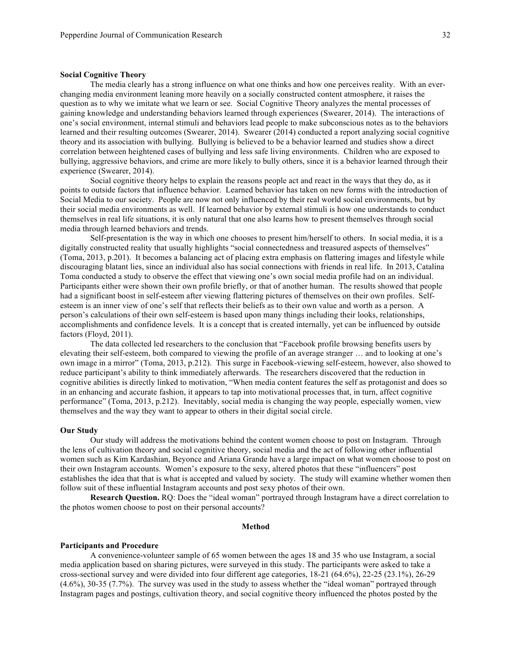#### **Social Cognitive Theory**

The media clearly has a strong influence on what one thinks and how one perceives reality. With an everchanging media environment leaning more heavily on a socially constructed content atmosphere, it raises the question as to why we imitate what we learn or see. Social Cognitive Theory analyzes the mental processes of gaining knowledge and understanding behaviors learned through experiences (Swearer, 2014). The interactions of one's social environment, internal stimuli and behaviors lead people to make subconscious notes as to the behaviors learned and their resulting outcomes (Swearer, 2014). Swearer (2014) conducted a report analyzing social cognitive theory and its association with bullying. Bullying is believed to be a behavior learned and studies show a direct correlation between heightened cases of bullying and less safe living environments. Children who are exposed to bullying, aggressive behaviors, and crime are more likely to bully others, since it is a behavior learned through their experience (Swearer, 2014).

Social cognitive theory helps to explain the reasons people act and react in the ways that they do, as it points to outside factors that influence behavior. Learned behavior has taken on new forms with the introduction of Social Media to our society. People are now not only influenced by their real world social environments, but by their social media environments as well. If learned behavior by external stimuli is how one understands to conduct themselves in real life situations, it is only natural that one also learns how to present themselves through social media through learned behaviors and trends.

Self-presentation is the way in which one chooses to present him/herself to others. In social media, it is a digitally constructed reality that usually highlights "social connectedness and treasured aspects of themselves" (Toma, 2013, p.201). It becomes a balancing act of placing extra emphasis on flattering images and lifestyle while discouraging blatant lies, since an individual also has social connections with friends in real life. In 2013, Catalina Toma conducted a study to observe the effect that viewing one's own social media profile had on an individual. Participants either were shown their own profile briefly, or that of another human. The results showed that people had a significant boost in self-esteem after viewing flattering pictures of themselves on their own profiles. Selfesteem is an inner view of one's self that reflects their beliefs as to their own value and worth as a person. A person's calculations of their own self-esteem is based upon many things including their looks, relationships, accomplishments and confidence levels. It is a concept that is created internally, yet can be influenced by outside factors (Floyd, 2011).

The data collected led researchers to the conclusion that "Facebook profile browsing benefits users by elevating their self-esteem, both compared to viewing the profile of an average stranger … and to looking at one's own image in a mirror" (Toma, 2013, p.212). This surge in Facebook-viewing self-esteem, however, also showed to reduce participant's ability to think immediately afterwards. The researchers discovered that the reduction in cognitive abilities is directly linked to motivation, "When media content features the self as protagonist and does so in an enhancing and accurate fashion, it appears to tap into motivational processes that, in turn, affect cognitive performance" (Toma, 2013, p.212). Inevitably, social media is changing the way people, especially women, view themselves and the way they want to appear to others in their digital social circle.

#### **Our Study**

Our study will address the motivations behind the content women choose to post on Instagram. Through the lens of cultivation theory and social cognitive theory, social media and the act of following other influential women such as Kim Kardashian, Beyonce and Ariana Grande have a large impact on what women choose to post on their own Instagram accounts. Women's exposure to the sexy, altered photos that these "influencers" post establishes the idea that that is what is accepted and valued by society. The study will examine whether women then follow suit of these influential Instagram accounts and post sexy photos of their own.

**Research Question.** RQ: Does the "ideal woman" portrayed through Instagram have a direct correlation to the photos women choose to post on their personal accounts?

#### **Method**

#### **Participants and Procedure**

A convenience-volunteer sample of 65 women between the ages 18 and 35 who use Instagram, a social media application based on sharing pictures, were surveyed in this study. The participants were asked to take a cross-sectional survey and were divided into four different age categories, 18-21 (64.6%), 22-25 (23.1%), 26-29 (4.6%), 30-35 (7.7%). The survey was used in the study to assess whether the "ideal woman" portrayed through Instagram pages and postings, cultivation theory, and social cognitive theory influenced the photos posted by the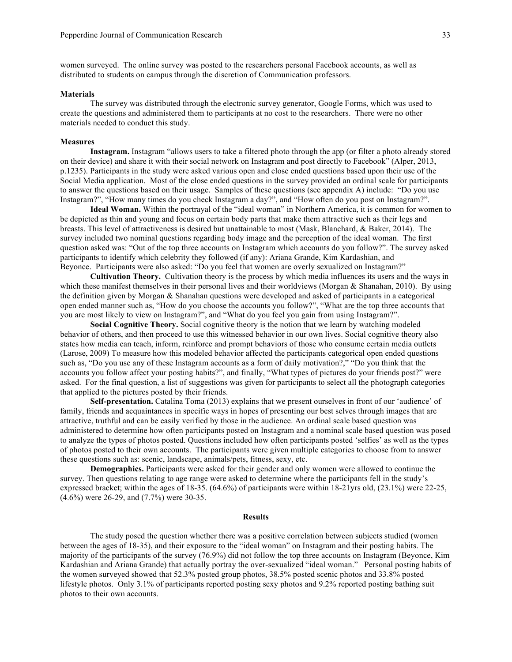women surveyed. The online survey was posted to the researchers personal Facebook accounts, as well as distributed to students on campus through the discretion of Communication professors.

#### **Materials**

The survey was distributed through the electronic survey generator, Google Forms, which was used to create the questions and administered them to participants at no cost to the researchers. There were no other materials needed to conduct this study.

#### **Measures**

**Instagram.** Instagram "allows users to take a filtered photo through the app (or filter a photo already stored on their device) and share it with their social network on Instagram and post directly to Facebook" (Alper, 2013, p.1235). Participants in the study were asked various open and close ended questions based upon their use of the Social Media application. Most of the close ended questions in the survey provided an ordinal scale for participants to answer the questions based on their usage. Samples of these questions (see appendix A) include: "Do you use Instagram?", "How many times do you check Instagram a day?", and "How often do you post on Instagram?".

**Ideal Woman.** Within the portrayal of the "ideal woman" in Northern America, it is common for women to be depicted as thin and young and focus on certain body parts that make them attractive such as their legs and breasts. This level of attractiveness is desired but unattainable to most (Mask, Blanchard, & Baker, 2014). The survey included two nominal questions regarding body image and the perception of the ideal woman. The first question asked was: "Out of the top three accounts on Instagram which accounts do you follow?". The survey asked participants to identify which celebrity they followed (if any): Ariana Grande, Kim Kardashian, and Beyonce. Participants were also asked: "Do you feel that women are overly sexualized on Instagram?"

**Cultivation Theory.** Cultivation theory is the process by which media influences its users and the ways in which these manifest themselves in their personal lives and their worldviews (Morgan & Shanahan, 2010). By using the definition given by Morgan & Shanahan questions were developed and asked of participants in a categorical open ended manner such as, "How do you choose the accounts you follow?", "What are the top three accounts that you are most likely to view on Instagram?", and "What do you feel you gain from using Instagram?".

**Social Cognitive Theory.** Social cognitive theory is the notion that we learn by watching modeled behavior of others, and then proceed to use this witnessed behavior in our own lives. Social cognitive theory also states how media can teach, inform, reinforce and prompt behaviors of those who consume certain media outlets (Larose, 2009) To measure how this modeled behavior affected the participants categorical open ended questions such as, "Do you use any of these Instagram accounts as a form of daily motivation?," "Do you think that the accounts you follow affect your posting habits?", and finally, "What types of pictures do your friends post?" were asked. For the final question, a list of suggestions was given for participants to select all the photograph categories that applied to the pictures posted by their friends.

**Self-presentation.** Catalina Toma (2013) explains that we present ourselves in front of our 'audience' of family, friends and acquaintances in specific ways in hopes of presenting our best selves through images that are attractive, truthful and can be easily verified by those in the audience. An ordinal scale based question was administered to determine how often participants posted on Instagram and a nominal scale based question was posed to analyze the types of photos posted. Questions included how often participants posted 'selfies' as well as the types of photos posted to their own accounts. The participants were given multiple categories to choose from to answer these questions such as: scenic, landscape, animals/pets, fitness, sexy, etc.

**Demographics.** Participants were asked for their gender and only women were allowed to continue the survey. Then questions relating to age range were asked to determine where the participants fell in the study's expressed bracket; within the ages of 18-35. (64.6%) of participants were within 18-21yrs old, (23.1%) were 22-25, (4.6%) were 26-29, and (7.7%) were 30-35.

#### **Results**

The study posed the question whether there was a positive correlation between subjects studied (women between the ages of 18-35), and their exposure to the "ideal woman" on Instagram and their posting habits. The majority of the participants of the survey (76.9%) did not follow the top three accounts on Instagram (Beyonce, Kim Kardashian and Ariana Grande) that actually portray the over-sexualized "ideal woman." Personal posting habits of the women surveyed showed that 52.3% posted group photos, 38.5% posted scenic photos and 33.8% posted lifestyle photos. Only 3.1% of participants reported posting sexy photos and 9.2% reported posting bathing suit photos to their own accounts.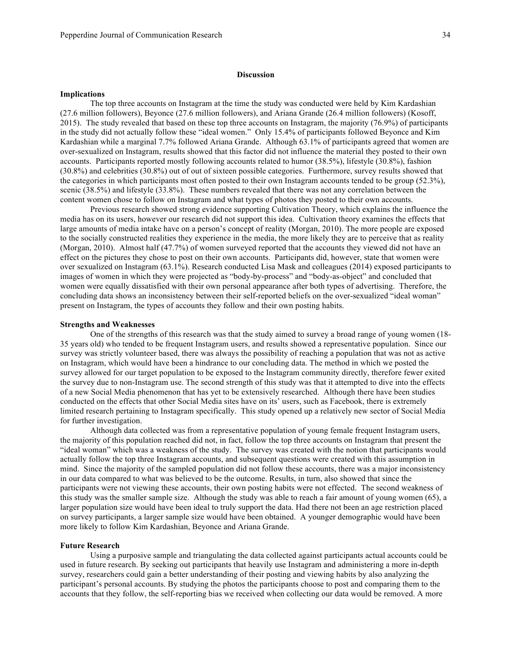#### **Discussion**

#### **Implications**

The top three accounts on Instagram at the time the study was conducted were held by Kim Kardashian (27.6 million followers), Beyonce (27.6 million followers), and Ariana Grande (26.4 million followers) (Kosoff, 2015). The study revealed that based on these top three accounts on Instagram, the majority (76.9%) of participants in the study did not actually follow these "ideal women." Only 15.4% of participants followed Beyonce and Kim Kardashian while a marginal 7.7% followed Ariana Grande. Although 63.1% of participants agreed that women are over-sexualized on Instagram, results showed that this factor did not influence the material they posted to their own accounts. Participants reported mostly following accounts related to humor (38.5%), lifestyle (30.8%), fashion (30.8%) and celebrities (30.8%) out of out of sixteen possible categories. Furthermore, survey results showed that the categories in which participants most often posted to their own Instagram accounts tended to be group (52.3%), scenic (38.5%) and lifestyle (33.8%). These numbers revealed that there was not any correlation between the content women chose to follow on Instagram and what types of photos they posted to their own accounts.

Previous research showed strong evidence supporting Cultivation Theory, which explains the influence the media has on its users, however our research did not support this idea. Cultivation theory examines the effects that large amounts of media intake have on a person's concept of reality (Morgan, 2010). The more people are exposed to the socially constructed realities they experience in the media, the more likely they are to perceive that as reality (Morgan, 2010). Almost half (47.7%) of women surveyed reported that the accounts they viewed did not have an effect on the pictures they chose to post on their own accounts. Participants did, however, state that women were over sexualized on Instagram (63.1%). Research conducted Lisa Mask and colleagues (2014) exposed participants to images of women in which they were projected as "body-by-process" and "body-as-object" and concluded that women were equally dissatisfied with their own personal appearance after both types of advertising. Therefore, the concluding data shows an inconsistency between their self-reported beliefs on the over-sexualized "ideal woman" present on Instagram, the types of accounts they follow and their own posting habits.

#### **Strengths and Weaknesses**

One of the strengths of this research was that the study aimed to survey a broad range of young women (18- 35 years old) who tended to be frequent Instagram users, and results showed a representative population. Since our survey was strictly volunteer based, there was always the possibility of reaching a population that was not as active on Instagram, which would have been a hindrance to our concluding data. The method in which we posted the survey allowed for our target population to be exposed to the Instagram community directly, therefore fewer exited the survey due to non-Instagram use. The second strength of this study was that it attempted to dive into the effects of a new Social Media phenomenon that has yet to be extensively researched. Although there have been studies conducted on the effects that other Social Media sites have on its' users, such as Facebook, there is extremely limited research pertaining to Instagram specifically. This study opened up a relatively new sector of Social Media for further investigation.

Although data collected was from a representative population of young female frequent Instagram users, the majority of this population reached did not, in fact, follow the top three accounts on Instagram that present the "ideal woman" which was a weakness of the study. The survey was created with the notion that participants would actually follow the top three Instagram accounts, and subsequent questions were created with this assumption in mind. Since the majority of the sampled population did not follow these accounts, there was a major inconsistency in our data compared to what was believed to be the outcome. Results, in turn, also showed that since the participants were not viewing these accounts, their own posting habits were not effected. The second weakness of this study was the smaller sample size. Although the study was able to reach a fair amount of young women (65), a larger population size would have been ideal to truly support the data. Had there not been an age restriction placed on survey participants, a larger sample size would have been obtained. A younger demographic would have been more likely to follow Kim Kardashian, Beyonce and Ariana Grande.

#### **Future Research**

Using a purposive sample and triangulating the data collected against participants actual accounts could be used in future research. By seeking out participants that heavily use Instagram and administering a more in-depth survey, researchers could gain a better understanding of their posting and viewing habits by also analyzing the participant's personal accounts. By studying the photos the participants choose to post and comparing them to the accounts that they follow, the self-reporting bias we received when collecting our data would be removed. A more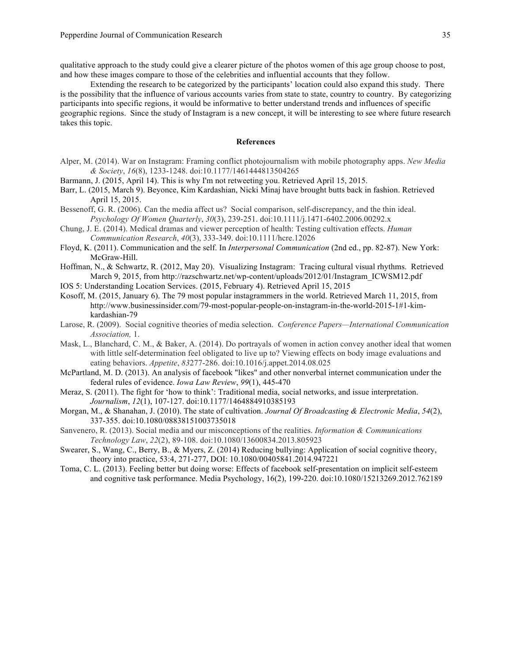qualitative approach to the study could give a clearer picture of the photos women of this age group choose to post, and how these images compare to those of the celebrities and influential accounts that they follow.

Extending the research to be categorized by the participants' location could also expand this study. There is the possibility that the influence of various accounts varies from state to state, country to country. By categorizing participants into specific regions, it would be informative to better understand trends and influences of specific geographic regions. Since the study of Instagram is a new concept, it will be interesting to see where future research takes this topic.

## **References**

- Alper, M. (2014). War on Instagram: Framing conflict photojournalism with mobile photography apps. *New Media & Society*, *16*(8), 1233-1248. doi:10.1177/1461444813504265
- Barmann, J. (2015, April 14). This is why I'm not retweeting you. Retrieved April 15, 2015.
- Barr, L. (2015, March 9). Beyonce, Kim Kardashian, Nicki Minaj have brought butts back in fashion. Retrieved April 15, 2015.
- Bessenoff, G. R. (2006). Can the media affect us? Social comparison, self-discrepancy, and the thin ideal. *Psychology Of Women Quarterly*, *30*(3), 239-251. doi:10.1111/j.1471-6402.2006.00292.x
- Chung, J. E. (2014). Medical dramas and viewer perception of health: Testing cultivation effects. *Human Communication Research*, *40*(3), 333-349. doi:10.1111/hcre.12026
- Floyd, K. (2011). Communication and the self. In *Interpersonal Communication* (2nd ed., pp. 82-87). New York: McGraw-Hill.
- Hoffman, N., & Schwartz, R. (2012, May 20). Visualizing Instagram: Tracing cultural visual rhythms. Retrieved March 9, 2015, from http://razschwartz.net/wp-content/uploads/2012/01/Instagram\_ICWSM12.pdf
- IOS 5: Understanding Location Services. (2015, February 4). Retrieved April 15, 2015
- Kosoff, M. (2015, January 6). The 79 most popular instagrammers in the world. Retrieved March 11, 2015, from http://www.businessinsider.com/79-most-popular-people-on-instagram-in-the-world-2015-1#1-kimkardashian-79
- Larose, R. (2009). Social cognitive theories of media selection. *Conference Papers—International Communication Association,* 1.
- Mask, L., Blanchard, C. M., & Baker, A. (2014). Do portrayals of women in action convey another ideal that women with little self-determination feel obligated to live up to? Viewing effects on body image evaluations and eating behaviors. *Appetite*, *83*277-286. doi:10.1016/j.appet.2014.08.025
- McPartland, M. D. (2013). An analysis of facebook "likes" and other nonverbal internet communication under the federal rules of evidence. *Iowa Law Review*, *99*(1), 445-470
- Meraz, S. (2011). The fight for 'how to think': Traditional media, social networks, and issue interpretation. *Journalism*, *12*(1), 107-127. doi:10.1177/1464884910385193
- Morgan, M., & Shanahan, J. (2010). The state of cultivation. *Journal Of Broadcasting & Electronic Media*, *54*(2), 337-355. doi:10.1080/08838151003735018
- Sanvenero, R. (2013). Social media and our misconceptions of the realities. *Information & Communications Technology Law*, *22*(2), 89-108. doi:10.1080/13600834.2013.805923
- Swearer, S., Wang, C., Berry, B., & Myers, Z. (2014) Reducing bullying: Application of social cognitive theory, theory into practice, 53:4, 271-277, DOI: 10.1080/00405841.2014.947221
- Toma, C. L. (2013). Feeling better but doing worse: Effects of facebook self-presentation on implicit self-esteem and cognitive task performance. Media Psychology, 16(2), 199-220. doi:10.1080/15213269.2012.762189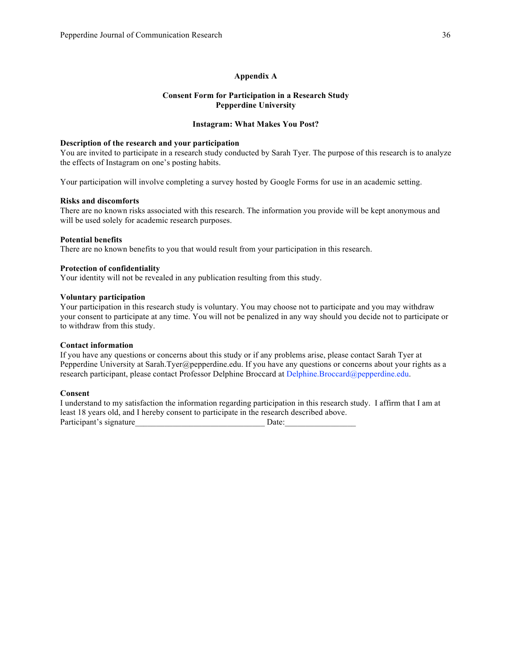## **Appendix A**

## **Consent Form for Participation in a Research Study Pepperdine University**

## **Instagram: What Makes You Post?**

## **Description of the research and your participation**

You are invited to participate in a research study conducted by Sarah Tyer. The purpose of this research is to analyze the effects of Instagram on one's posting habits.

Your participation will involve completing a survey hosted by Google Forms for use in an academic setting.

## **Risks and discomforts**

There are no known risks associated with this research. The information you provide will be kept anonymous and will be used solely for academic research purposes.

## **Potential benefits**

There are no known benefits to you that would result from your participation in this research.

## **Protection of confidentiality**

Your identity will not be revealed in any publication resulting from this study.

## **Voluntary participation**

Your participation in this research study is voluntary. You may choose not to participate and you may withdraw your consent to participate at any time. You will not be penalized in any way should you decide not to participate or to withdraw from this study.

## **Contact information**

If you have any questions or concerns about this study or if any problems arise, please contact Sarah Tyer at Pepperdine University at Sarah.Tyer@pepperdine.edu. If you have any questions or concerns about your rights as a research participant, please contact Professor Delphine Broccard at Delphine.Broccard@pepperdine.edu.

## **Consent**

I understand to my satisfaction the information regarding participation in this research study. I affirm that I am at least 18 years old, and I hereby consent to participate in the research described above. Participant's signature Date: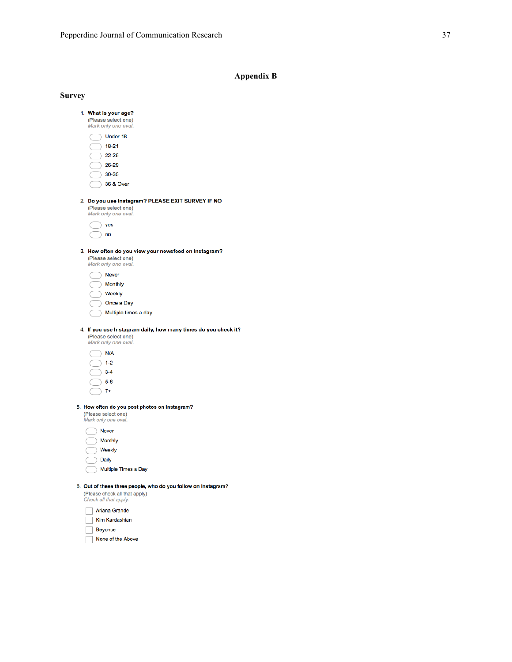## **Appendix B**

| <b>Survey</b> |                                                                                                                         |
|---------------|-------------------------------------------------------------------------------------------------------------------------|
|               | 1. What is your age?<br>(Please select one)<br>Mark only one oval.                                                      |
|               | Under 18                                                                                                                |
|               | 18-21                                                                                                                   |
|               | $22 - 25$                                                                                                               |
|               | 26-29                                                                                                                   |
|               | 30-35                                                                                                                   |
|               | 36 & Over                                                                                                               |
|               | 2. Do you use Instagram? PLEASE EXIT SURVEY IF NO                                                                       |
|               | (Please select one)<br>Mark only one oval.                                                                              |
|               | yes                                                                                                                     |
|               | no                                                                                                                      |
|               |                                                                                                                         |
|               | 3. How often do you view your newsfeed on Instagram?<br>(Please select one)<br>Mark only one oval.                      |
|               | Never                                                                                                                   |
|               | Monthly                                                                                                                 |
|               | Weekly                                                                                                                  |
|               | Once a Day                                                                                                              |
|               | Multiple times a day                                                                                                    |
|               | 4. If you use Instagram daily, how many times do you check it?                                                          |
|               | (Please select one)                                                                                                     |
|               | Mark only one oval.                                                                                                     |
|               | N/A                                                                                                                     |
|               | $1 - 2$                                                                                                                 |
|               | $3 - 4$                                                                                                                 |
|               | $5-6$                                                                                                                   |
|               | $7+$                                                                                                                    |
|               | 5. How often do you post photos on Instagram?<br>(Please select one)<br>Mark only one oval.                             |
|               | Never                                                                                                                   |
|               | Monthly                                                                                                                 |
|               | Weekly                                                                                                                  |
|               | Daily                                                                                                                   |
|               | Multiple Times a Day                                                                                                    |
|               | 6. Out of these three people, who do you follow on Instagram?<br>(Please check all that apply)<br>Check all that apply. |
|               |                                                                                                                         |
|               | Ariana Grande<br>Kim Kardashian                                                                                         |
|               | P <sub>ov</sub>                                                                                                         |

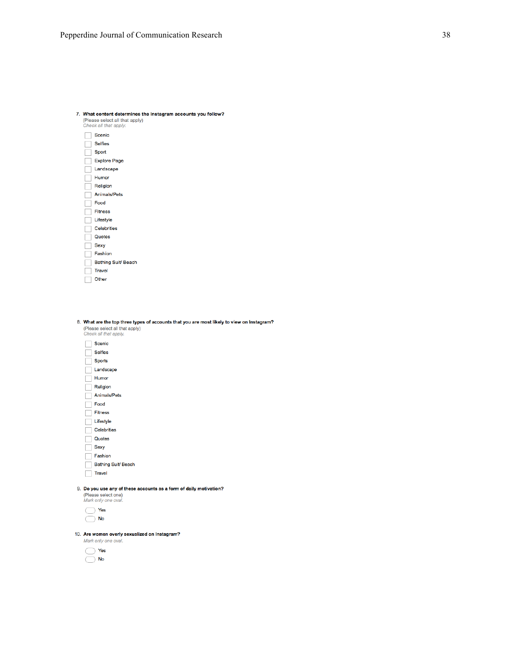| 7. What content determines the Instagram accounts you follow?<br>(Please select all that apply)<br>Check all that apply. |
|--------------------------------------------------------------------------------------------------------------------------|
| <b>Scenic</b>                                                                                                            |
| <b>Selfies</b>                                                                                                           |
| Sport                                                                                                                    |
| <b>Explore Page</b>                                                                                                      |
| Landscape                                                                                                                |
| Humor                                                                                                                    |
| Religion                                                                                                                 |
| <b>Animals/Pets</b>                                                                                                      |
| Food                                                                                                                     |
| <b>Fitness</b>                                                                                                           |
| Lifestyle                                                                                                                |
| <b>Celebrities</b>                                                                                                       |
| Quotes                                                                                                                   |
| <b>Sexy</b>                                                                                                              |
| Fashion                                                                                                                  |
| <b>Bathing Suit/ Beach</b>                                                                                               |
| Travel                                                                                                                   |
| Other                                                                                                                    |
|                                                                                                                          |

8. What are the top three types of accounts that you are most likely to view on Instagram? (Please select all that apply)<br>Check all that apply.

| Scenic                                                          |
|-----------------------------------------------------------------|
| <b>Selfies</b>                                                  |
| <b>Sports</b>                                                   |
| Landscape                                                       |
| Humor                                                           |
| Religion                                                        |
| Animals/Pets                                                    |
| Food                                                            |
| <b>Fitness</b>                                                  |
| Lifestyle                                                       |
| <b>Celebrities</b>                                              |
| Quotes                                                          |
| <b>Sexy</b>                                                     |
| Fashion                                                         |
| Bathing Suit/ Beach                                             |
| <b>Travel</b>                                                   |
| Do you use any of these accounts as a form of daily motivation? |

(Please select one)<br>Mark only one oval.



9.

10. Are women overly sexualized on Instagram?

Mark only one oval.  $\bigcap$  Yes

|  | - -<br>- |
|--|----------|
|  | ----     |